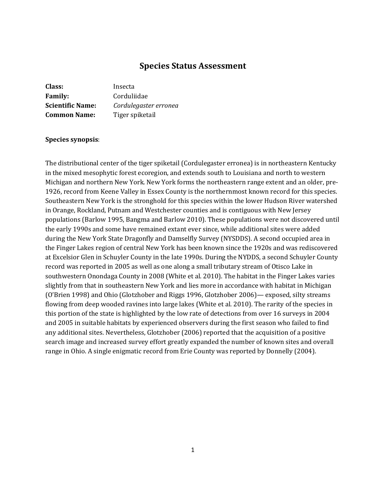## **Species Status Assessment**

| Class:                  | Insecta               |
|-------------------------|-----------------------|
| <b>Family:</b>          | Corduliidae           |
| <b>Scientific Name:</b> | Cordulegaster erronea |
| <b>Common Name:</b>     | Tiger spiketail       |

#### **Species synopsis**:

The distributional center of the tiger spiketail (Cordulegaster erronea) is in northeastern Kentucky in the mixed mesophytic forest ecoregion, and extends south to Louisiana and north to western Michigan and northern New York. New York forms the northeastern range extent and an older, pre-1926, record from Keene Valley in Essex County is the northernmost known record for this species. Southeastern New York is the stronghold for this species within the lower Hudson River watershed in Orange, Rockland, Putnam and Westchester counties and is contiguous with New Jersey populations (Barlow 1995, Bangma and Barlow 2010). These populations were not discovered until the early 1990s and some have remained extant ever since, while additional sites were added during the New York State Dragonfly and Damselfly Survey (NYSDDS). A second occupied area in the Finger Lakes region of central New York has been known since the 1920s and was rediscovered at Excelsior Glen in Schuyler County in the late 1990s. During the NYDDS, a second Schuyler County record was reported in 2005 as well as one along a small tributary stream of Otisco Lake in southwestern Onondaga County in 2008 (White et al. 2010). The habitat in the Finger Lakes varies slightly from that in southeastern New York and lies more in accordance with habitat in Michigan (O'Brien 1998) and Ohio (Glotzhober and Riggs 1996, Glotzhober 2006)— exposed, silty streams flowing from deep wooded ravines into large lakes (White et al. 2010). The rarity of the species in this portion of the state is highlighted by the low rate of detections from over 16 surveys in 2004 and 2005 in suitable habitats by experienced observers during the first season who failed to find any additional sites. Nevertheless, Glotzhober (2006) reported that the acquisition of a positive search image and increased survey effort greatly expanded the number of known sites and overall range in Ohio. A single enigmatic record from Erie County was reported by Donnelly (2004).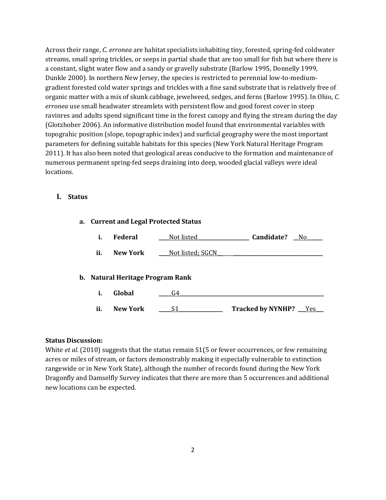Across their range, *C. erronea* are habitat specialists inhabiting tiny, forested, spring-fed coldwater streams, small spring trickles, or seeps in partial shade that are too small for fish but where there is a constant, slight water flow and a sandy or gravelly substrate (Barlow 1995, Donnelly 1999, Dunkle 2000). In northern New Jersey, the species is restricted to perennial low-to-mediumgradient forested cold water springs and trickles with a fine sand substrate that is relatively free of organic matter with a mix of skunk cabbage, jewelweed, sedges, and ferns (Barlow 1995). In Ohio, *C. erronea* use small headwater streamlets with persistent flow and good forest cover in steep ravinres and adults spend significant time in the forest canopy and flying the stream during the day (Glotzhober 2006). An informative distribution model found that environmental variables with topograhic position (slope, topographic index) and surficial geography were the most important parameters for defining suitable habitats for this species (New York Natural Heritage Program 2011). It has also been noted that geological areas conducive to the formation and maintenance of numerous permanent spring-fed seeps draining into deep, wooded glacial valleys were ideal locations.

#### **I. Status**

# **a. Current and Legal Protected Status**

| i.  | Federal  | Not listed       | Candidate? | Nο |
|-----|----------|------------------|------------|----|
| ii. | New York | Not listed; SGCN |            |    |

## **b. Natural Heritage Program Rank**

| ii. | <b>New York</b> | <b>Tracked by NYNHP?</b> |  |
|-----|-----------------|--------------------------|--|

#### **Status Discussion:**

White *et al.* (2010) suggests that the status remain S1(5 or fewer occurrences, or few remaining acres or miles of stream, or factors demonstrably making it especially vulnerable to extinction rangewide or in New York State), although the number of records found during the New York Dragonfly and Damselfly Survey indicates that there are more than 5 occurrences and additional new locations can be expected.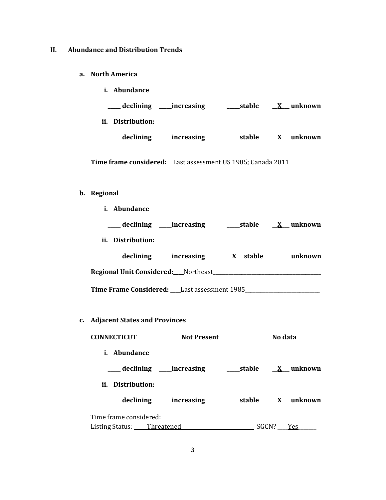## **II. Abundance and Distribution Trends**

**a. North America**

| <i>i.</i> Abundance       |        |         |
|---------------------------|--------|---------|
| declining<br>__increasing | stable | unknown |
| Distribution:<br>Ħ.       |        |         |
| declining<br>increasing   | stable | unknown |

Time frame considered: *Last assessment US 1985; Canada 2011* 

## **b. Regional**

| <i>i.</i> Abundance                         |                         |
|---------------------------------------------|-------------------------|
| declining _____increasing                   | stable X unknown        |
| ii. Distribution:                           |                         |
| ____ declining _____increasing              | X stable ______ unknown |
| <b>Regional Unit Considered:</b> Northeast  |                         |
| Time Frame Considered: Last assessment 1985 |                         |

**c. Adjacent States and Provinces**

| <b>CONNECTICUT</b>         |                                 | <b>Not Present</b> | No data          |
|----------------------------|---------------------------------|--------------------|------------------|
| <i>i.</i> Abundance        |                                 |                    |                  |
|                            | ____ declining _____ increasing |                    | stable X unknown |
| ii. Distribution:          |                                 |                    |                  |
|                            | ____ declining _____ increasing |                    | stable X unknown |
|                            |                                 |                    |                  |
| Listing Status: Threatened |                                 | SGCN? Yes          |                  |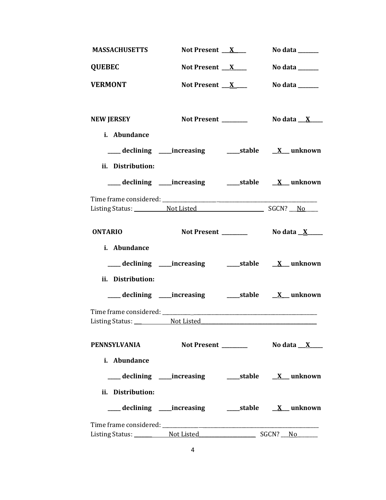| <b>MASSACHUSETTS</b>                                                                                | Not Present $X$                                                    | No data $\_\_\_\_\_\_\_\_\_\_\_\_\_\_\_\_\_$ |
|-----------------------------------------------------------------------------------------------------|--------------------------------------------------------------------|----------------------------------------------|
| <b>QUEBEC</b>                                                                                       | Not Present $X$                                                    | No data $\_\_\_\_\_\_\_\_\_\_\_\_\$          |
| <b>VERMONT</b>                                                                                      | Not Present $X$                                                    | No data ______                               |
| <b>NEW JERSEY</b>                                                                                   | Not Present _______                                                | No data $X$                                  |
| i. Abundance                                                                                        |                                                                    |                                              |
|                                                                                                     |                                                                    |                                              |
| ii. Distribution:                                                                                   |                                                                    |                                              |
|                                                                                                     |                                                                    |                                              |
|                                                                                                     |                                                                    |                                              |
| Listing Status: Not Listed SGCN? No Listing Status:                                                 |                                                                    |                                              |
| <b>ONTARIO</b>                                                                                      |                                                                    |                                              |
| i. Abundance                                                                                        |                                                                    |                                              |
|                                                                                                     | ___ declining ____increasing ______stable ___ X___ unknown         |                                              |
| ii. Distribution:                                                                                   |                                                                    |                                              |
|                                                                                                     |                                                                    |                                              |
|                                                                                                     |                                                                    |                                              |
| Listing Status: Not Listed North 2008 and 2008 and 2008 and 2008 and 2008 and 2008 and 2008 and 200 |                                                                    |                                              |
|                                                                                                     |                                                                    |                                              |
| PENNSYLVANIA                                                                                        | Not Present ________                                               | No data $X$                                  |
| i. Abundance                                                                                        |                                                                    |                                              |
|                                                                                                     |                                                                    |                                              |
| ii. Distribution:                                                                                   |                                                                    |                                              |
|                                                                                                     | ___ declining ____ increasing ______ stable __ <u>X</u> __ unknown |                                              |
|                                                                                                     |                                                                    |                                              |
|                                                                                                     |                                                                    |                                              |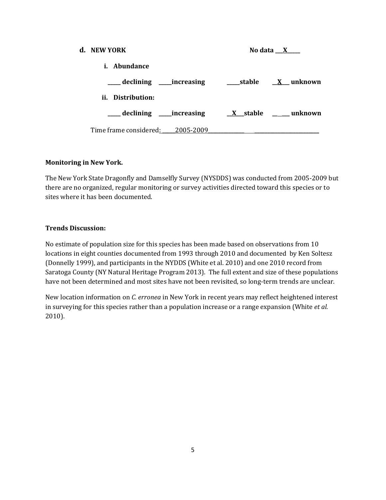#### **d. NEW YORK**

| No data |  |
|---------|--|
|         |  |

**i. Abundance**

| __declining ____increasing       | stable          | $\underline{X}$ unknown |
|----------------------------------|-----------------|-------------------------|
| ii.<br>Distribution:             |                 |                         |
| declining ____increasing         | <u>X</u> stable | unknown                 |
| Time frame considered: 2005-2009 |                 |                         |

#### **Monitoring in New York.**

The New York State Dragonfly and Damselfly Survey (NYSDDS) was conducted from 2005-2009 but there are no organized, regular monitoring or survey activities directed toward this species or to sites where it has been documented.

#### **Trends Discussion:**

No estimate of population size for this species has been made based on observations from 10 locations in eight counties documented from 1993 through 2010 and documented by Ken Soltesz (Donnelly 1999), and participants in the NYDDS (White et al. 2010) and one 2010 record from Saratoga County (NY Natural Heritage Program 2013). The full extent and size of these populations have not been determined and most sites have not been revisited, so long-term trends are unclear.

New location information on *C. erronea* in New York in recent years may reflect heightened interest in surveying for this species rather than a population increase or a range expansion (White *et al.* 2010).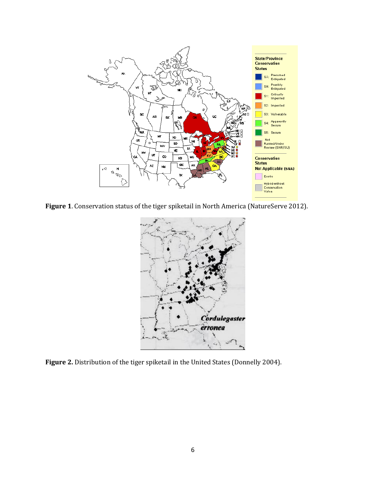

**Figure 1**. Conservation status of the tiger spiketail in North America (NatureServe 2012).



**Figure 2.** Distribution of the tiger spiketail in the United States (Donnelly 2004).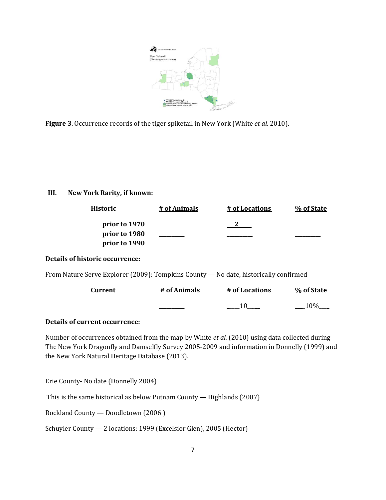

**Figure 3**. Occurrence records of the tiger spiketail in New York (White *et al.* 2010).

## **III. New York Rarity, if known:**

| Historic      | # of Animals | # of Locations | % of State |
|---------------|--------------|----------------|------------|
| prior to 1970 |              |                |            |
| prior to 1980 |              |                |            |
| prior to 1990 |              |                |            |

## **Details of historic occurrence:**

From Nature Serve Explorer (2009): Tompkins County — No date, historically confirmed

| Current | # of Animals | # of Locations | % of State |
|---------|--------------|----------------|------------|
|         |              |                | 1 (104     |

## **Details of current occurrence:**

Number of occurrences obtained from the map by White *et al.* (2010) using data collected during The New York Dragonfly and Damselfly Survey 2005-2009 and information in Donnelly (1999) and the New York Natural Heritage Database (2013).

Erie County- No date (Donnelly 2004)

This is the same historical as below Putnam County — Highlands (2007)

Rockland County — Doodletown (2006 )

Schuyler County — 2 locations: 1999 (Excelsior Glen), 2005 (Hector)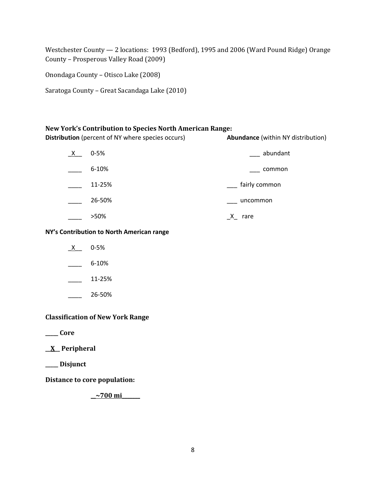Westchester County — 2 locations: 1993 (Bedford), 1995 and 2006 (Ward Pound Ridge) Orange County – Prosperous Valley Road (2009)

Onondaga County – Otisco Lake (2008)

Saratoga County – Great Sacandaga Lake (2010)

#### **New York's Contribution to Species North American Range:**

**Distribution** (percent of NY where species occurs) **Abundance** (within NY distribution)

| X | $0 - 5%$  | abundant      |
|---|-----------|---------------|
|   | $6 - 10%$ | common        |
|   | 11-25%    | fairly common |
|   | 26-50%    | uncommon      |
|   | >50%      | rare          |

**NY's Contribution to North American range**

- $X$  0-5%  $\frac{6-10\%}{2}$
- $11-25%$
- \_\_\_\_ 26-50%

## **Classification of New York Range**

**\_\_\_\_\_ Core**

**\_\_X\_\_ Peripheral**

**\_\_\_\_\_ Disjunct**

**Distance to core population:**

**\_\_~700 mi\_\_\_\_\_\_\_**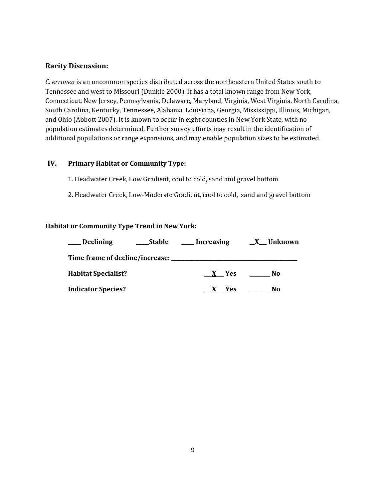#### **Rarity Discussion:**

*C. erronea* is an uncommon species distributed across the northeastern United States south to Tennessee and west to Missouri (Dunkle 2000). It has a total known range from New York, Connecticut, New Jersey, Pennsylvania, Delaware, Maryland, Virginia, West Virginia, North Carolina, South Carolina, Kentucky, Tennessee, Alabama, Louisiana, Georgia, Mississippi, Illinois, Michigan, and Ohio (Abbott 2007). It is known to occur in eight counties in New York State, with no population estimates determined. Further survey efforts may result in the identification of additional populations or range expansions, and may enable population sizes to be estimated.

## **IV. Primary Habitat or Community Type:**

- 1. Headwater Creek, Low Gradient, cool to cold, sand and gravel bottom
- 2. Headwater Creek, Low-Moderate Gradient, cool to cold, sand and gravel bottom

#### **Habitat or Community Type Trend in New York:**

| Declining                       | Stable | Increasing | <u>X</u> Unknown |
|---------------------------------|--------|------------|------------------|
| Time frame of decline/increase: |        |            |                  |
| <b>Habitat Specialist?</b>      |        | X Yes      | No.              |
| <b>Indicator Species?</b>       |        | X Yes      | No.              |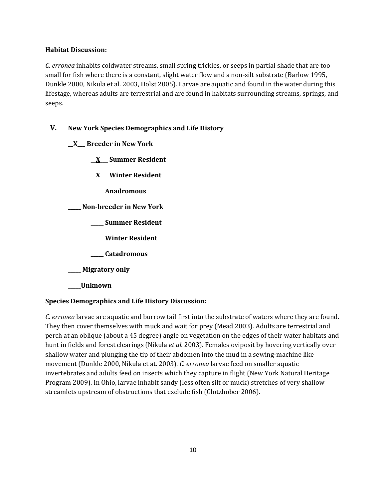#### **Habitat Discussion:**

*C. erronea* inhabits coldwater streams, small spring trickles, or seeps in partial shade that are too small for fish where there is a constant, slight water flow and a non-silt substrate (Barlow 1995, Dunkle 2000, Nikula et al. 2003, Holst 2005). Larvae are aquatic and found in the water during this lifestage, whereas adults are terrestrial and are found in habitats surrounding streams, springs, and seeps.

## **V. New York Species Demographics and Life History**

- **\_\_X\_\_\_ Breeder in New York**
	- **\_\_X\_\_\_ Summer Resident**
	- **\_\_X\_\_\_ Winter Resident**
	- **\_\_\_\_\_ Anadromous**

**\_\_\_\_\_ Non-breeder in New York**

- **\_\_\_\_\_ Summer Resident**
- **\_\_\_\_\_ Winter Resident**
- **\_\_\_\_\_ Catadromous**
- **\_\_\_\_\_ Migratory only**
- **\_\_\_\_\_Unknown**

## **Species Demographics and Life History Discussion:**

*C. erronea* larvae are aquatic and burrow tail first into the substrate of waters where they are found. They then cover themselves with muck and wait for prey (Mead 2003). Adults are terrestrial and perch at an oblique (about a 45 degree) angle on vegetation on the edges of their water habitats and hunt in fields and forest clearings (Nikula *et al.* 2003). Females oviposit by hovering vertically over shallow water and plunging the tip of their abdomen into the mud in a sewing-machine like movement (Dunkle 2000, Nikula et at. 2003). *C. erronea* larvae feed on smaller aquatic invertebrates and adults feed on insects which they capture in flight (New York Natural Heritage Program 2009). In Ohio, larvae inhabit sandy (less often silt or muck) stretches of very shallow streamlets upstream of obstructions that exclude fish (Glotzhober 2006).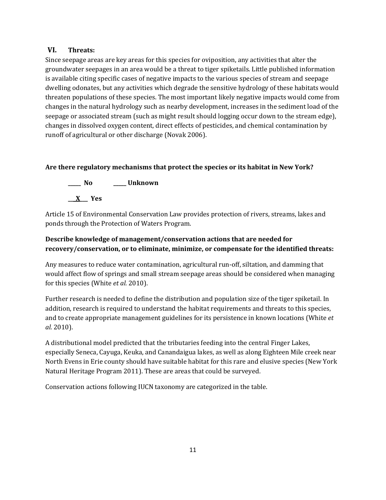## **VI. Threats:**

Since seepage areas are key areas for this species for oviposition, any activities that alter the groundwater seepages in an area would be a threat to tiger spiketails. Little published information is available citing specific cases of negative impacts to the various species of stream and seepage dwelling odonates, but any activities which degrade the sensitive hydrology of these habitats would threaten populations of these species. The most important likely negative impacts would come from changes in the natural hydrology such as nearby development, increases in the sediment load of the seepage or associated stream (such as might result should logging occur down to the stream edge), changes in dissolved oxygen content, direct effects of pesticides, and chemical contamination by runoff of agricultural or other discharge (Novak 2006).

## **Are there regulatory mechanisms that protect the species or its habitat in New York?**

**\_\_\_\_\_ No \_\_\_\_\_ Unknown**

**\_\_\_X\_\_\_ Yes** 

Article 15 of Environmental Conservation Law provides protection of rivers, streams, lakes and ponds through the Protection of Waters Program.

## **Describe knowledge of management/conservation actions that are needed for recovery/conservation, or to eliminate, minimize, or compensate for the identified threats:**

Any measures to reduce water contamination, agricultural run-off, siltation, and damming that would affect flow of springs and small stream seepage areas should be considered when managing for this species (White *et al.* 2010).

Further research is needed to define the distribution and population size of the tiger spiketail. In addition, research is required to understand the habitat requirements and threats to this species, and to create appropriate management guidelines for its persistence in known locations (White *et al.* 2010).

A distributional model predicted that the tributaries feeding into the central Finger Lakes, especially Seneca, Cayuga, Keuka, and Canandaigua lakes, as well as along Eighteen Mile creek near North Evens in Erie county should have suitable habitat for this rare and elusive species (New York Natural Heritage Program 2011). These are areas that could be surveyed.

Conservation actions following IUCN taxonomy are categorized in the table.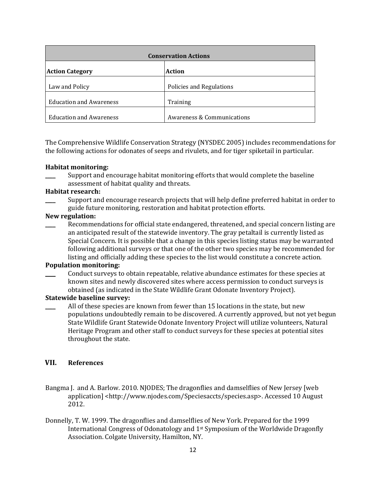| <b>Conservation Actions</b>    |                            |  |  |
|--------------------------------|----------------------------|--|--|
| <b>Action Category</b>         | <b>Action</b>              |  |  |
| Law and Policy                 | Policies and Regulations   |  |  |
| <b>Education and Awareness</b> | Training                   |  |  |
| <b>Education and Awareness</b> | Awareness & Communications |  |  |

The Comprehensive Wildlife Conservation Strategy (NYSDEC 2005) includes recommendations for the following actions for odonates of seeps and rivulets, and for tiger spiketail in particular.

#### **Habitat monitoring:**

Support and encourage habitat monitoring efforts that would complete the baseline assessment of habitat quality and threats.

#### **Habitat research:**

\_\_\_\_ Support and encourage research projects that will help define preferred habitat in order to guide future monitoring, restoration and habitat protection efforts.

#### **New regulation:**

Recommendations for official state endangered, threatened, and special concern listing are an anticipated result of the statewide inventory. The gray petaltail is currently listed as Special Concern. It is possible that a change in this species listing status may be warranted following additional surveys or that one of the other two species may be recommended for listing and officially adding these species to the list would constitute a concrete action.

#### **Population monitoring:**

\_\_\_\_ Conduct surveys to obtain repeatable, relative abundance estimates for these species at known sites and newly discovered sites where access permission to conduct surveys is obtained (as indicated in the State Wildlife Grant Odonate Inventory Project).

#### **Statewide baseline survey:**

All of these species are known from fewer than 15 locations in the state, but new populations undoubtedly remain to be discovered. A currently approved, but not yet begun State Wildlife Grant Statewide Odonate Inventory Project will utilize volunteers, Natural Heritage Program and other staff to conduct surveys for these species at potential sites throughout the state.

## **VII. References**

- Bangma J. and A. Barlow. 2010. NJODES; The dragonflies and damselflies of New Jersey [web application] <http://www.njodes.com/Speciesaccts/species.asp>. Accessed 10 August 2012.
- Donnelly, T. W. 1999. The dragonflies and damselflies of New York. Prepared for the 1999 International Congress of Odonatology and 1st Symposium of the Worldwide Dragonfly Association. Colgate University, Hamilton, NY.